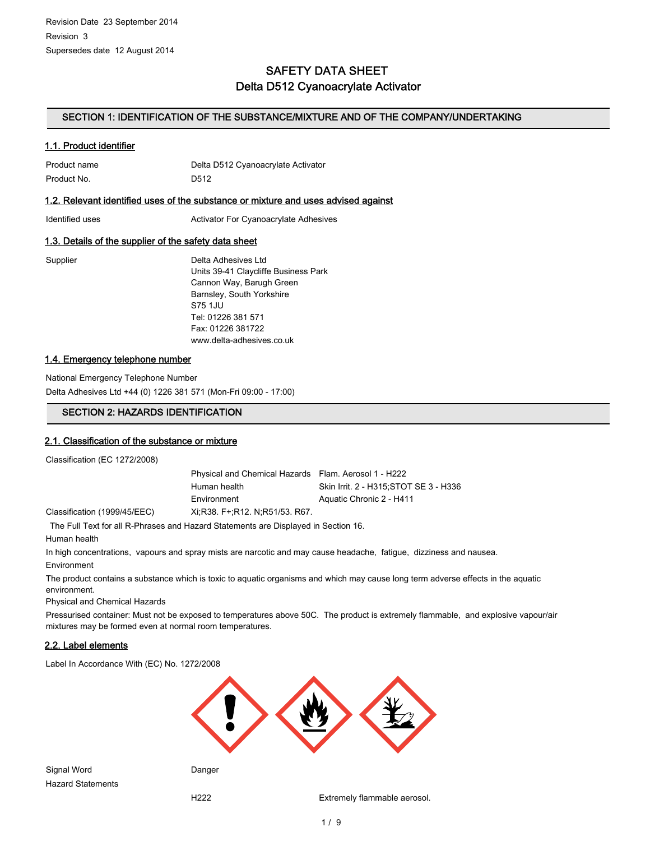# SAFETY DATA SHEET Delta D512 Cyanoacrylate Activator

## SECTION 1: IDENTIFICATION OF THE SUBSTANCE/MIXTURE AND OF THE COMPANY/UNDERTAKING

## 1.1. Product identifier

Product name The Delta D512 Cyanoacrylate Activator Product No. 2006 2012

### 1.2. Relevant identified uses of the substance or mixture and uses advised against

Identified uses **Activator For Cyanoacrylate Adhesives** 

### 1.3. Details of the supplier of the safety data sheet

Supplier **Delta Adhesives Ltd** Units 39-41 Claycliffe Business Park Cannon Way, Barugh Green Barnsley, South Yorkshire S75 1JU Tel: 01226 381 571 Fax: 01226 381722 www.delta-adhesives.co.uk

## 1.4. Emergency telephone number

National Emergency Telephone Number Delta Adhesives Ltd +44 (0) 1226 381 571 (Mon-Fri 09:00 - 17:00)

### SECTION 2: HAZARDS IDENTIFICATION

### 2.1. Classification of the substance or mixture

Classification (EC 1272/2008)

Physical and Chemical Hazards Flam. Aerosol 1 - H222 Human health Skin Irrit. 2 - H315;STOT SE 3 - H336 Environment Aquatic Chronic 2 - H411 Classification (1999/45/EEC) Xi;R38. F+;R12. N;R51/53. R67.

The Full Text for all R-Phrases and Hazard Statements are Displayed in Section 16.

Human health

In high concentrations, vapours and spray mists are narcotic and may cause headache, fatigue, dizziness and nausea. Environment

The product contains a substance which is toxic to aquatic organisms and which may cause long term adverse effects in the aquatic environment.

Physical and Chemical Hazards

Pressurised container: Must not be exposed to temperatures above 50C. The product is extremely flammable, and explosive vapour/air mixtures may be formed even at normal room temperatures.

### 2.2. Label elements

Label In Accordance With (EC) No. 1272/2008



Signal Word **Danger** Hazard Statements

H222 Extremely flammable aerosol.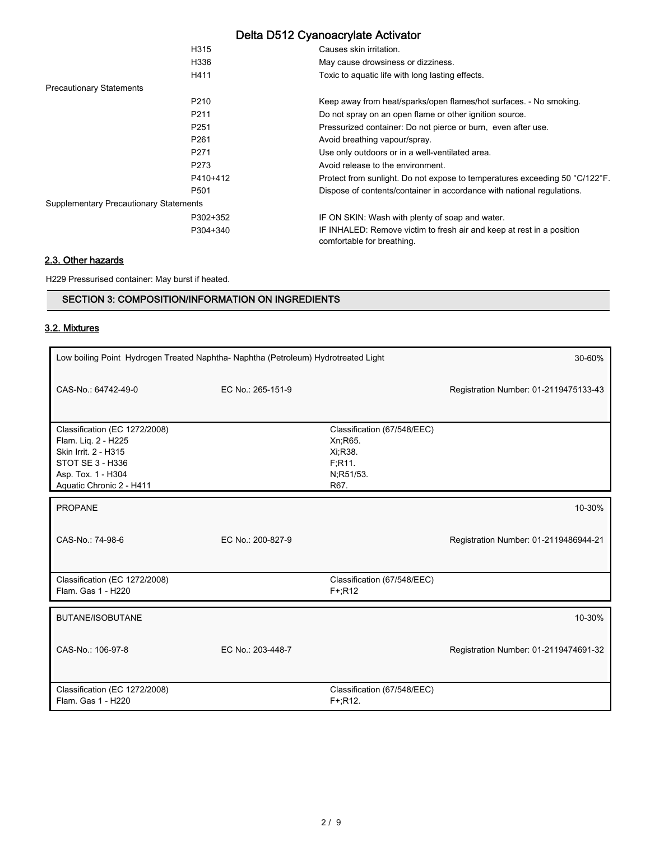|                                               | H315             | Causes skin irritation.                                                                             |
|-----------------------------------------------|------------------|-----------------------------------------------------------------------------------------------------|
|                                               | H336             | May cause drowsiness or dizziness.                                                                  |
|                                               | H411             | Toxic to aquatic life with long lasting effects.                                                    |
| <b>Precautionary Statements</b>               |                  |                                                                                                     |
|                                               | P <sub>210</sub> | Keep away from heat/sparks/open flames/hot surfaces. - No smoking.                                  |
|                                               | P <sub>211</sub> | Do not spray on an open flame or other ignition source.                                             |
|                                               | P <sub>251</sub> | Pressurized container: Do not pierce or burn, even after use.                                       |
|                                               | P <sub>261</sub> | Avoid breathing vapour/spray.                                                                       |
|                                               | P <sub>271</sub> | Use only outdoors or in a well-ventilated area.                                                     |
|                                               | P273             | Avoid release to the environment.                                                                   |
|                                               | P410+412         | Protect from sunlight. Do not expose to temperatures exceeding 50 °C/122°F.                         |
|                                               | P501             | Dispose of contents/container in accordance with national regulations.                              |
| <b>Supplementary Precautionary Statements</b> |                  |                                                                                                     |
|                                               | P302+352         | IF ON SKIN: Wash with plenty of soap and water.                                                     |
|                                               | P304+340         | IF INHALED: Remove victim to fresh air and keep at rest in a position<br>comfortable for breathing. |
|                                               |                  |                                                                                                     |

# 2.3. Other hazards

H229 Pressurised container: May burst if heated.

## SECTION 3: COMPOSITION/INFORMATION ON INGREDIENTS

# 3.2. Mixtures

| Low boiling Point Hydrogen Treated Naphtha-Naphtha (Petroleum) Hydrotreated Light                                                                         |                   |                                                                                 | 30-60%                                |
|-----------------------------------------------------------------------------------------------------------------------------------------------------------|-------------------|---------------------------------------------------------------------------------|---------------------------------------|
| CAS-No.: 64742-49-0                                                                                                                                       | EC No.: 265-151-9 |                                                                                 | Registration Number: 01-2119475133-43 |
| Classification (EC 1272/2008)<br>Flam. Liq. 2 - H225<br>Skin Irrit. 2 - H315<br><b>STOT SE 3 - H336</b><br>Asp. Tox. 1 - H304<br>Aquatic Chronic 2 - H411 |                   | Classification (67/548/EEC)<br>Xn;R65.<br>Xi:R38.<br>F:R11<br>N;R51/53.<br>R67. |                                       |
| <b>PROPANE</b>                                                                                                                                            |                   |                                                                                 | 10-30%                                |
| CAS-No.: 74-98-6                                                                                                                                          | EC No.: 200-827-9 |                                                                                 | Registration Number: 01-2119486944-21 |
| Classification (EC 1272/2008)<br>Flam. Gas 1 - H220                                                                                                       |                   | Classification (67/548/EEC)<br>$F+$ ;R12                                        |                                       |
| <b>BUTANE/ISOBUTANE</b>                                                                                                                                   |                   |                                                                                 | 10-30%                                |
| CAS-No.: 106-97-8                                                                                                                                         | EC No.: 203-448-7 |                                                                                 | Registration Number: 01-2119474691-32 |
| Classification (EC 1272/2008)<br>Flam. Gas 1 - H220                                                                                                       |                   | Classification (67/548/EEC)<br>$F + R12.$                                       |                                       |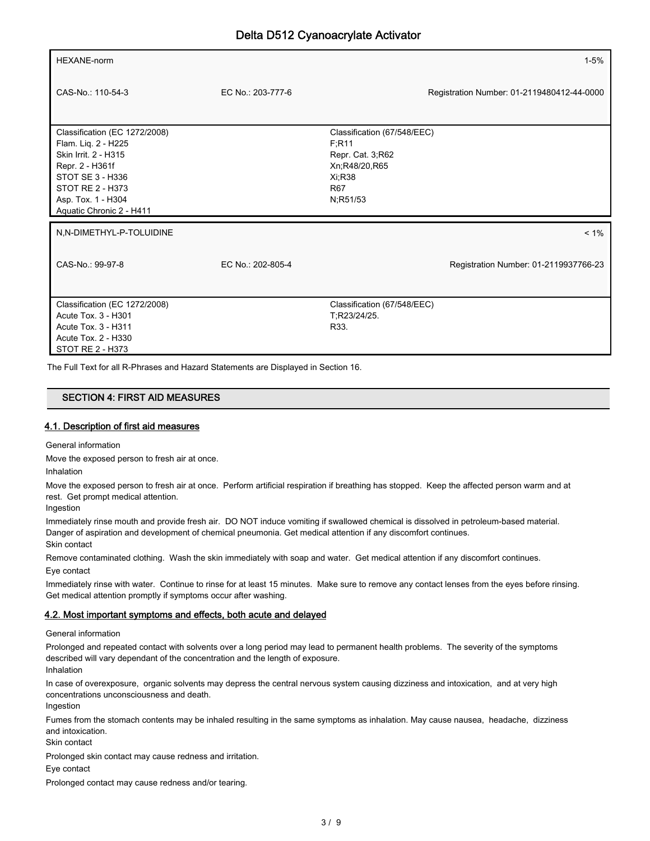| <b>HEXANE-norm</b>                                                                                                                                                                        |                   |                                                                                                                       | $1 - 5%$                                   |
|-------------------------------------------------------------------------------------------------------------------------------------------------------------------------------------------|-------------------|-----------------------------------------------------------------------------------------------------------------------|--------------------------------------------|
| CAS-No.: 110-54-3                                                                                                                                                                         | EC No.: 203-777-6 |                                                                                                                       | Registration Number: 01-2119480412-44-0000 |
| Classification (EC 1272/2008)<br>Flam. Liq. 2 - H225<br>Skin Irrit. 2 - H315<br>Repr. 2 - H361f<br>STOT SE 3 - H336<br>STOT RE 2 - H373<br>Asp. Tox. 1 - H304<br>Aquatic Chronic 2 - H411 |                   | Classification (67/548/EEC)<br>F;R11<br>Repr. Cat. 3, R62<br>Xn;R48/20,R65<br><b>Xi:R38</b><br><b>R67</b><br>N;R51/53 |                                            |
| N,N-DIMETHYL-P-TOLUIDINE                                                                                                                                                                  |                   |                                                                                                                       | $< 1\%$                                    |
| CAS-No.: 99-97-8                                                                                                                                                                          | EC No.: 202-805-4 |                                                                                                                       | Registration Number: 01-2119937766-23      |
| Classification (EC 1272/2008)<br>Acute Tox. 3 - H301<br>Acute Tox. 3 - H311<br>Acute Tox. 2 - H330<br>STOT RE 2 - H373                                                                    |                   | Classification (67/548/EEC)<br>T:R23/24/25.<br>R33.                                                                   |                                            |

The Full Text for all R-Phrases and Hazard Statements are Displayed in Section 16.

### SECTION 4: FIRST AID MEASURES

### 4.1. Description of first aid measures

General information

Move the exposed person to fresh air at once.

Inhalation

Move the exposed person to fresh air at once. Perform artificial respiration if breathing has stopped. Keep the affected person warm and at rest. Get prompt medical attention.

Ingestion

Immediately rinse mouth and provide fresh air. DO NOT induce vomiting if swallowed chemical is dissolved in petroleum-based material. Danger of aspiration and development of chemical pneumonia. Get medical attention if any discomfort continues. Skin contact

Remove contaminated clothing. Wash the skin immediately with soap and water. Get medical attention if any discomfort continues. Eye contact

Immediately rinse with water. Continue to rinse for at least 15 minutes. Make sure to remove any contact lenses from the eyes before rinsing. Get medical attention promptly if symptoms occur after washing.

### 4.2. Most important symptoms and effects, both acute and delayed

General information

Prolonged and repeated contact with solvents over a long period may lead to permanent health problems. The severity of the symptoms described will vary dependant of the concentration and the length of exposure. Inhalation

In case of overexposure, organic solvents may depress the central nervous system causing dizziness and intoxication, and at very high concentrations unconsciousness and death.

Ingestion

Fumes from the stomach contents may be inhaled resulting in the same symptoms as inhalation. May cause nausea, headache, dizziness and intoxication.

Skin contact

Prolonged skin contact may cause redness and irritation.

Eye contact

Prolonged contact may cause redness and/or tearing.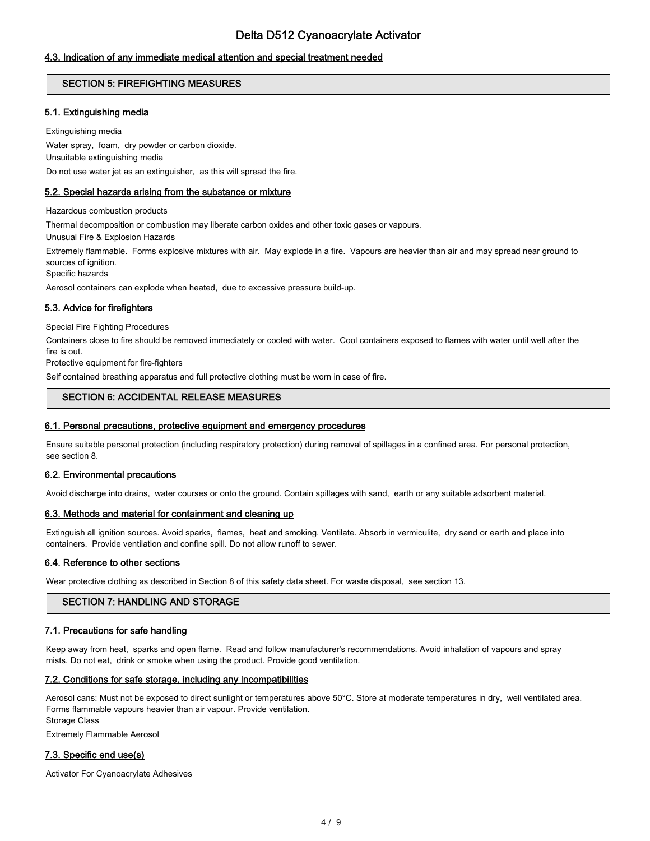## 4.3. Indication of any immediate medical attention and special treatment needed

## SECTION 5: FIREFIGHTING MEASURES

## 5.1. Extinguishing media

Extinguishing media

Water spray, foam, dry powder or carbon dioxide. Unsuitable extinguishing media Do not use water jet as an extinguisher, as this will spread the fire.

### 5.2. Special hazards arising from the substance or mixture

Hazardous combustion products

Thermal decomposition or combustion may liberate carbon oxides and other toxic gases or vapours.

Unusual Fire & Explosion Hazards

Extremely flammable. Forms explosive mixtures with air. May explode in a fire. Vapours are heavier than air and may spread near ground to sources of ignition.

Specific hazards

Aerosol containers can explode when heated, due to excessive pressure build-up.

## 5.3. Advice for firefighters

Special Fire Fighting Procedures

Containers close to fire should be removed immediately or cooled with water. Cool containers exposed to flames with water until well after the fire is out.

Protective equipment for fire-fighters

Self contained breathing apparatus and full protective clothing must be worn in case of fire.

## SECTION 6: ACCIDENTAL RELEASE MEASURES

### 6.1. Personal precautions, protective equipment and emergency procedures

Ensure suitable personal protection (including respiratory protection) during removal of spillages in a confined area. For personal protection, see section 8.

### 6.2. Environmental precautions

Avoid discharge into drains, water courses or onto the ground. Contain spillages with sand, earth or any suitable adsorbent material.

### 6.3. Methods and material for containment and cleaning up

Extinguish all ignition sources. Avoid sparks, flames, heat and smoking. Ventilate. Absorb in vermiculite, dry sand or earth and place into containers. Provide ventilation and confine spill. Do not allow runoff to sewer.

### 6.4. Reference to other sections

Wear protective clothing as described in Section 8 of this safety data sheet. For waste disposal, see section 13.

## SECTION 7: HANDLING AND STORAGE

### 7.1. Precautions for safe handling

Keep away from heat, sparks and open flame. Read and follow manufacturer's recommendations. Avoid inhalation of vapours and spray mists. Do not eat, drink or smoke when using the product. Provide good ventilation.

### 7.2. Conditions for safe storage, including any incompatibilities

Aerosol cans: Must not be exposed to direct sunlight or temperatures above 50°C. Store at moderate temperatures in dry, well ventilated area. Forms flammable vapours heavier than air vapour. Provide ventilation. Storage Class

Extremely Flammable Aerosol

## 7.3. Specific end use(s)

Activator For Cyanoacrylate Adhesives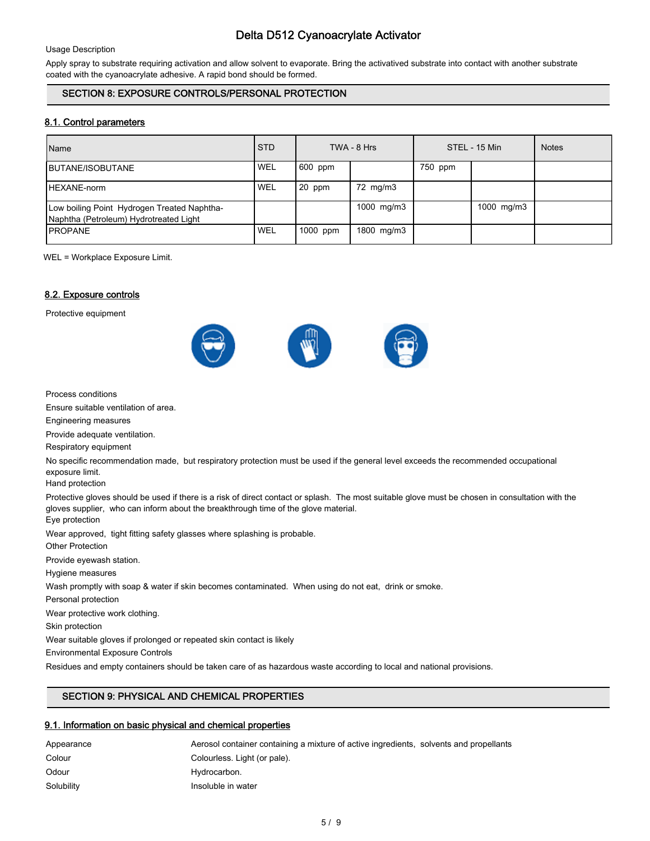#### Usage Description

Apply spray to substrate requiring activation and allow solvent to evaporate. Bring the activatived substrate into contact with another substrate coated with the cyanoacrylate adhesive. A rapid bond should be formed.

## SECTION 8: EXPOSURE CONTROLS/PERSONAL PROTECTION

## 8.1. Control parameters

| Name                                                                                  | <b>STD</b>       |          | TWA - 8 Hrs |         | STEL - 15 Min | <b>Notes</b> |
|---------------------------------------------------------------------------------------|------------------|----------|-------------|---------|---------------|--------------|
| <b>IBUTANE/ISOBUTANE</b>                                                              | <b>WEL</b>       | 600 ppm  |             | 750 ppm |               |              |
| <b>IHEXANE-norm</b>                                                                   | WEL <sup>'</sup> | 20 ppm   | 72 mg/m3    |         |               |              |
| Low boiling Point Hydrogen Treated Naphtha-<br>Naphtha (Petroleum) Hydrotreated Light |                  |          | 1000 mg/m3  |         | 1000 mg/m3    |              |
| <b>IPROPANE</b>                                                                       | WEL              | 1000 ppm | 1800 mg/m3  |         |               |              |

WEL = Workplace Exposure Limit.

### 8.2. Exposure controls

Protective equipment



Process conditions

Ensure suitable ventilation of area.

Engineering measures

Provide adequate ventilation.

Respiratory equipment

No specific recommendation made, but respiratory protection must be used if the general level exceeds the recommended occupational exposure limit.

Hand protection

Protective gloves should be used if there is a risk of direct contact or splash. The most suitable glove must be chosen in consultation with the gloves supplier, who can inform about the breakthrough time of the glove material.

Eye protection

Wear approved, tight fitting safety glasses where splashing is probable.

Other Protection

Provide eyewash station.

Hygiene measures

Wash promptly with soap & water if skin becomes contaminated. When using do not eat, drink or smoke.

Personal protection

Wear protective work clothing.

Skin protection

Wear suitable gloves if prolonged or repeated skin contact is likely

Environmental Exposure Controls

Residues and empty containers should be taken care of as hazardous waste according to local and national provisions.

## SECTION 9: PHYSICAL AND CHEMICAL PROPERTIES

## 9.1. Information on basic physical and chemical properties

| Appearance | Aerosol container containing a mixture of active ingredients, solvents and propellants |  |
|------------|----------------------------------------------------------------------------------------|--|
| Colour     | Colourless. Light (or pale).                                                           |  |
| Odour      | Hydrocarbon.                                                                           |  |
| Solubility | Insoluble in water                                                                     |  |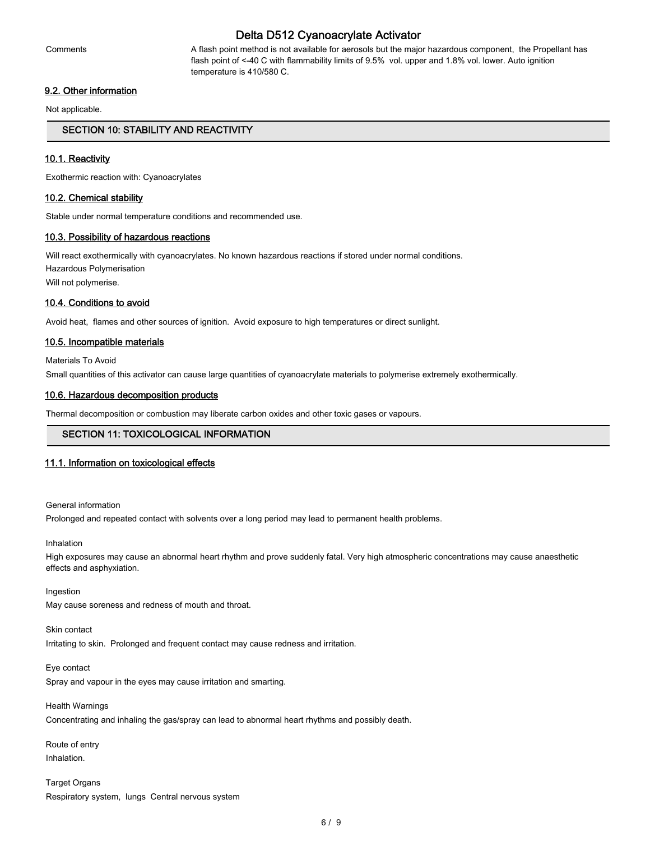Comments A flash point method is not available for aerosols but the major hazardous component, the Propellant has flash point of <-40 C with flammability limits of 9.5% vol. upper and 1.8% vol. lower. Auto ignition temperature is 410/580 C.

### 9.2. Other information

Not applicable.

### SECTION 10: STABILITY AND REACTIVITY

### 10.1. Reactivity

Exothermic reaction with: Cyanoacrylates

### 10.2. Chemical stability

Stable under normal temperature conditions and recommended use.

#### 10.3. Possibility of hazardous reactions

Will react exothermically with cyanoacrylates. No known hazardous reactions if stored under normal conditions. Hazardous Polymerisation Will not polymerise.

### 10.4. Conditions to avoid

Avoid heat, flames and other sources of ignition. Avoid exposure to high temperatures or direct sunlight.

### 10.5. Incompatible materials

Materials To Avoid Small quantities of this activator can cause large quantities of cyanoacrylate materials to polymerise extremely exothermically.

### 10.6. Hazardous decomposition products

Thermal decomposition or combustion may liberate carbon oxides and other toxic gases or vapours.

### SECTION 11: TOXICOLOGICAL INFORMATION

#### 11.1. Information on toxicological effects

#### General information

Prolonged and repeated contact with solvents over a long period may lead to permanent health problems.

Inhalation

High exposures may cause an abnormal heart rhythm and prove suddenly fatal. Very high atmospheric concentrations may cause anaesthetic effects and asphyxiation.

#### Ingestion

May cause soreness and redness of mouth and throat.

#### Skin contact

Irritating to skin. Prolonged and frequent contact may cause redness and irritation.

#### Eye contact

Spray and vapour in the eyes may cause irritation and smarting.

## Health Warnings Concentrating and inhaling the gas/spray can lead to abnormal heart rhythms and possibly death.

Route of entry Inhalation.

Target Organs Respiratory system, lungs Central nervous system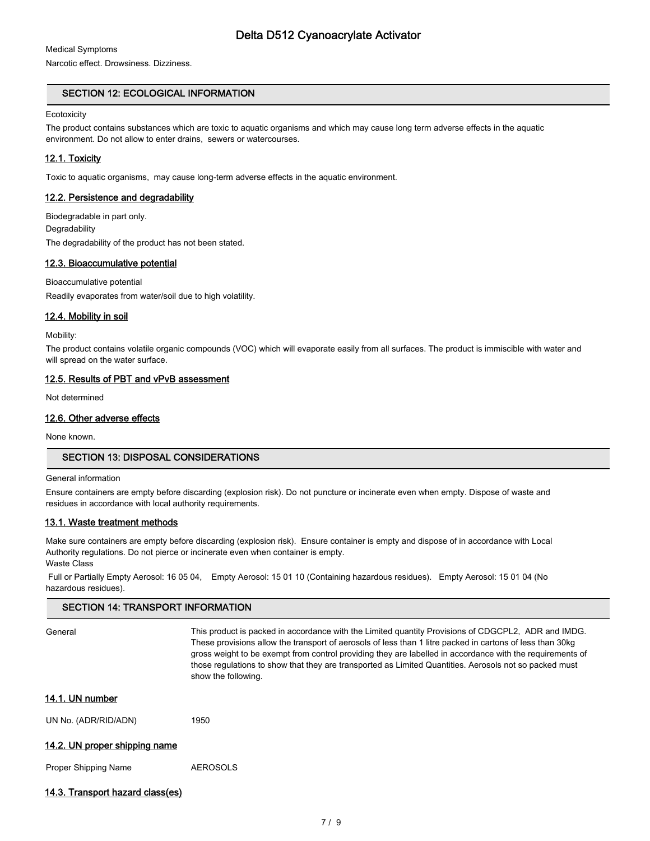Medical Symptoms

Narcotic effect. Drowsiness. Dizziness.

## SECTION 12: ECOLOGICAL INFORMATION

### **Ecotoxicity**

The product contains substances which are toxic to aquatic organisms and which may cause long term adverse effects in the aquatic environment. Do not allow to enter drains, sewers or watercourses.

## 12.1. Toxicity

Toxic to aquatic organisms, may cause long-term adverse effects in the aquatic environment.

## 12.2. Persistence and degradability

Biodegradable in part only. **Degradability** The degradability of the product has not been stated.

## 12.3. Bioaccumulative potential

### Bioaccumulative potential

Readily evaporates from water/soil due to high volatility.

## 12.4. Mobility in soil

Mobility:

The product contains volatile organic compounds (VOC) which will evaporate easily from all surfaces. The product is immiscible with water and will spread on the water surface.

## 12.5. Results of PBT and vPvB assessment

Not determined

## 12.6. Other adverse effects

None known.

## SECTION 13: DISPOSAL CONSIDERATIONS

SECTION 14: TRANSPORT INFORMATION

### General information

Ensure containers are empty before discarding (explosion risk). Do not puncture or incinerate even when empty. Dispose of waste and residues in accordance with local authority requirements.

## 13.1. Waste treatment methods

Make sure containers are empty before discarding (explosion risk). Ensure container is empty and dispose of in accordance with Local Authority regulations. Do not pierce or incinerate even when container is empty. Waste Class

 Full or Partially Empty Aerosol: 16 05 04, Empty Aerosol: 15 01 10 (Containing hazardous residues). Empty Aerosol: 15 01 04 (No hazardous residues).

| SECTION 14: TRANSPORT INFORMATION |                                                                                                                                                                                                                                                                                                                                                                                                                                                                |  |
|-----------------------------------|----------------------------------------------------------------------------------------------------------------------------------------------------------------------------------------------------------------------------------------------------------------------------------------------------------------------------------------------------------------------------------------------------------------------------------------------------------------|--|
| General                           | This product is packed in accordance with the Limited quantity Provisions of CDGCPL2, ADR and IMDG.<br>These provisions allow the transport of aerosols of less than 1 litre packed in cartons of less than 30kg<br>gross weight to be exempt from control providing they are labelled in accordance with the requirements of<br>those regulations to show that they are transported as Limited Quantities. Aerosols not so packed must<br>show the following. |  |
| 14.1. UN number                   |                                                                                                                                                                                                                                                                                                                                                                                                                                                                |  |
| UN No. (ADR/RID/ADN)              | 1950                                                                                                                                                                                                                                                                                                                                                                                                                                                           |  |
| 14.2. UN proper shipping name     |                                                                                                                                                                                                                                                                                                                                                                                                                                                                |  |
| Proper Shipping Name              | <b>AEROSOLS</b>                                                                                                                                                                                                                                                                                                                                                                                                                                                |  |

## 14.3. Transport hazard class(es)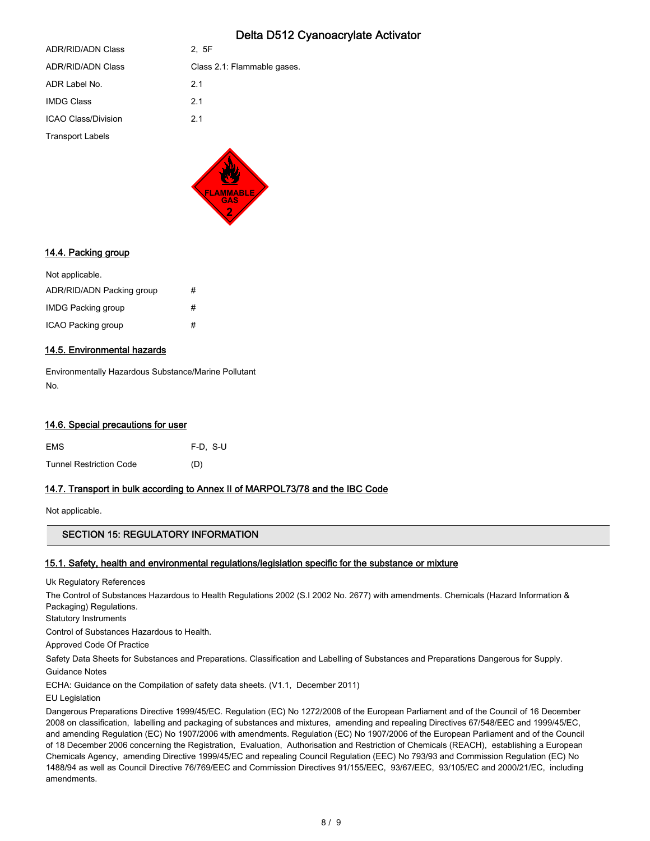| <b>Transport Labels</b>  |                             |
|--------------------------|-----------------------------|
| ICAO Class/Division      | 2.1                         |
| <b>IMDG Class</b>        | 2.1                         |
| ADR Label No.            | 2.1                         |
| <b>ADR/RID/ADN Class</b> | Class 2.1: Flammable gases. |
| ADR/RID/ADN Class        | 2, 5F                       |
|                          |                             |



## 14.4. Packing group

| Not applicable.           |   |
|---------------------------|---|
| ADR/RID/ADN Packing group | # |
| <b>IMDG Packing group</b> | # |
| ICAO Packing group        | # |

## 14.5. Environmental hazards

Environmentally Hazardous Substance/Marine Pollutant No.

### 14.6. Special precautions for user

| <b>EMS</b>                     | $F-D. S-U$ |
|--------------------------------|------------|
| <b>Tunnel Restriction Code</b> | (D)        |

## 14.7. Transport in bulk according to Annex II of MARPOL73/78 and the IBC Code

Not applicable.

## SECTION 15: REGULATORY INFORMATION

### 15.1. Safety, health and environmental regulations/legislation specific for the substance or mixture

Uk Regulatory References

The Control of Substances Hazardous to Health Regulations 2002 (S.I 2002 No. 2677) with amendments. Chemicals (Hazard Information & Packaging) Regulations.

Statutory Instruments

Control of Substances Hazardous to Health.

Approved Code Of Practice

Safety Data Sheets for Substances and Preparations. Classification and Labelling of Substances and Preparations Dangerous for Supply. Guidance Notes

ECHA: Guidance on the Compilation of safety data sheets. (V1.1, December 2011)

EU Legislation

Dangerous Preparations Directive 1999/45/EC. Regulation (EC) No 1272/2008 of the European Parliament and of the Council of 16 December 2008 on classification, labelling and packaging of substances and mixtures, amending and repealing Directives 67/548/EEC and 1999/45/EC, and amending Regulation (EC) No 1907/2006 with amendments. Regulation (EC) No 1907/2006 of the European Parliament and of the Council of 18 December 2006 concerning the Registration, Evaluation, Authorisation and Restriction of Chemicals (REACH), establishing a European Chemicals Agency, amending Directive 1999/45/EC and repealing Council Regulation (EEC) No 793/93 and Commission Regulation (EC) No 1488/94 as well as Council Directive 76/769/EEC and Commission Directives 91/155/EEC, 93/67/EEC, 93/105/EC and 2000/21/EC, including amendments.